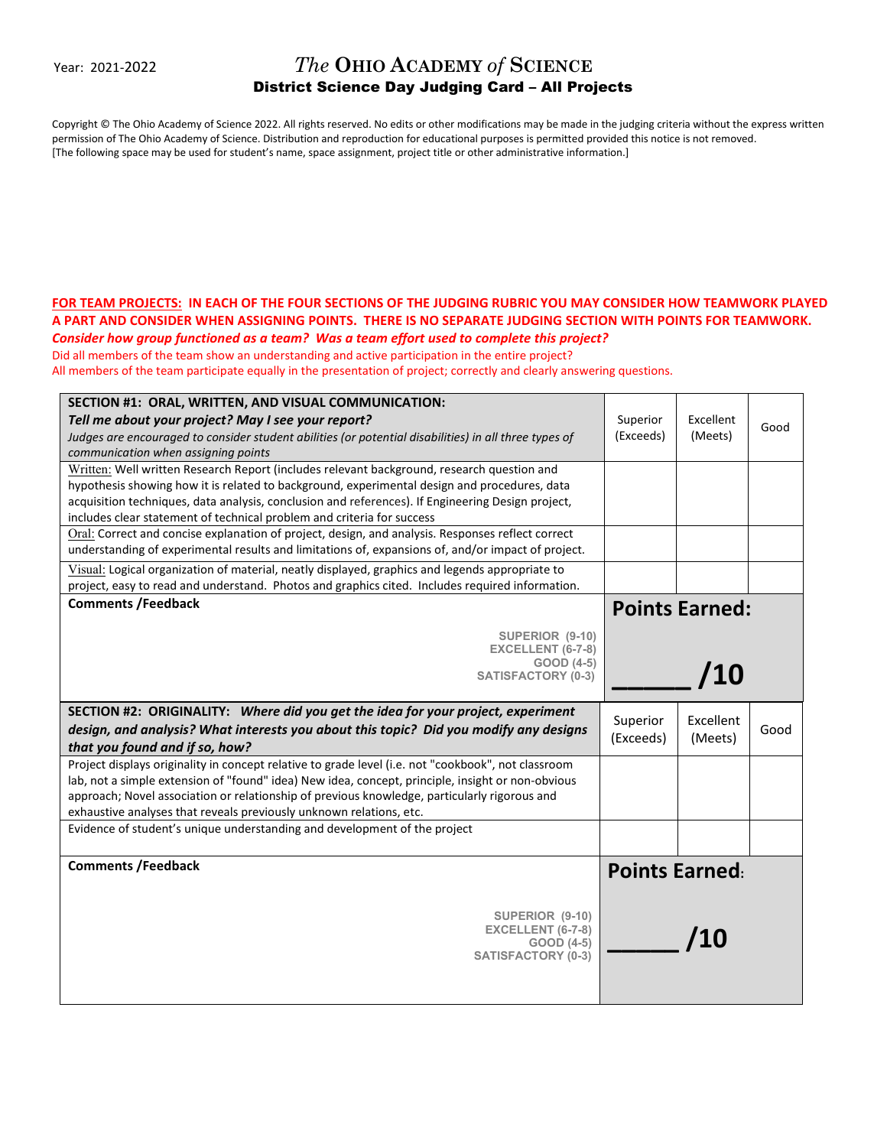Year: 2021-2022

## *The* **OHIO ACADEMY** *of* **SCIENCE** District Science Day Judging Card – All Projects

Copyright © The Ohio Academy of Science 2022. All rights reserved. No edits or other modifications may be made in the judging criteria without the express written permission of The Ohio Academy of Science. Distribution and reproduction for educational purposes is permitted provided this notice is not removed. [The following space may be used for student's name, space assignment, project title or other administrative information.]

## **FOR TEAM PROJECTS: IN EACH OF THE FOUR SECTIONS OF THE JUDGING RUBRIC YOU MAY CONSIDER HOW TEAMWORK PLAYED A PART AND CONSIDER WHEN ASSIGNING POINTS. THERE IS NO SEPARATE JUDGING SECTION WITH POINTS FOR TEAMWORK.**  *Consider how group functioned as a team? Was a team effort used to complete this project?*

Did all members of the team show an understanding and active participation in the entire project?

All members of the team participate equally in the presentation of project; correctly and clearly answering questions.

| SECTION #1: ORAL, WRITTEN, AND VISUAL COMMUNICATION:<br>Tell me about your project? May I see your report?<br>Judges are encouraged to consider student abilities (or potential disabilities) in all three types of<br>communication when assigning points                                                                                                                      | Superior<br>(Exceeds) | Excellent<br>(Meets) | Good |
|---------------------------------------------------------------------------------------------------------------------------------------------------------------------------------------------------------------------------------------------------------------------------------------------------------------------------------------------------------------------------------|-----------------------|----------------------|------|
| Written: Well written Research Report (includes relevant background, research question and<br>hypothesis showing how it is related to background, experimental design and procedures, data<br>acquisition techniques, data analysis, conclusion and references). If Engineering Design project,<br>includes clear statement of technical problem and criteria for success       |                       |                      |      |
| Oral: Correct and concise explanation of project, design, and analysis. Responses reflect correct<br>understanding of experimental results and limitations of, expansions of, and/or impact of project.                                                                                                                                                                         |                       |                      |      |
| Visual: Logical organization of material, neatly displayed, graphics and legends appropriate to<br>project, easy to read and understand. Photos and graphics cited. Includes required information.                                                                                                                                                                              |                       |                      |      |
| <b>Comments /Feedback</b>                                                                                                                                                                                                                                                                                                                                                       | <b>Points Earned:</b> |                      |      |
| SUPERIOR (9-10)<br>EXCELLENT (6-7-8)<br>GOOD (4-5)<br><b>SATISFACTORY (0-3)</b>                                                                                                                                                                                                                                                                                                 | /10                   |                      |      |
| SECTION #2: ORIGINALITY: Where did you get the idea for your project, experiment<br>design, and analysis? What interests you about this topic? Did you modify any designs<br>that you found and if so, how?                                                                                                                                                                     | Superior<br>(Exceeds) | Excellent<br>(Meets) | Good |
| Project displays originality in concept relative to grade level (i.e. not "cookbook", not classroom<br>lab, not a simple extension of "found" idea) New idea, concept, principle, insight or non-obvious<br>approach; Novel association or relationship of previous knowledge, particularly rigorous and<br>exhaustive analyses that reveals previously unknown relations, etc. |                       |                      |      |
| Evidence of student's unique understanding and development of the project                                                                                                                                                                                                                                                                                                       |                       |                      |      |
| <b>Comments /Feedback</b>                                                                                                                                                                                                                                                                                                                                                       | <b>Points Earned:</b> |                      |      |
| SUPERIOR (9-10)<br>EXCELLENT (6-7-8)<br>GOOD (4-5)<br><b>SATISFACTORY (0-3)</b>                                                                                                                                                                                                                                                                                                 |                       | /10                  |      |